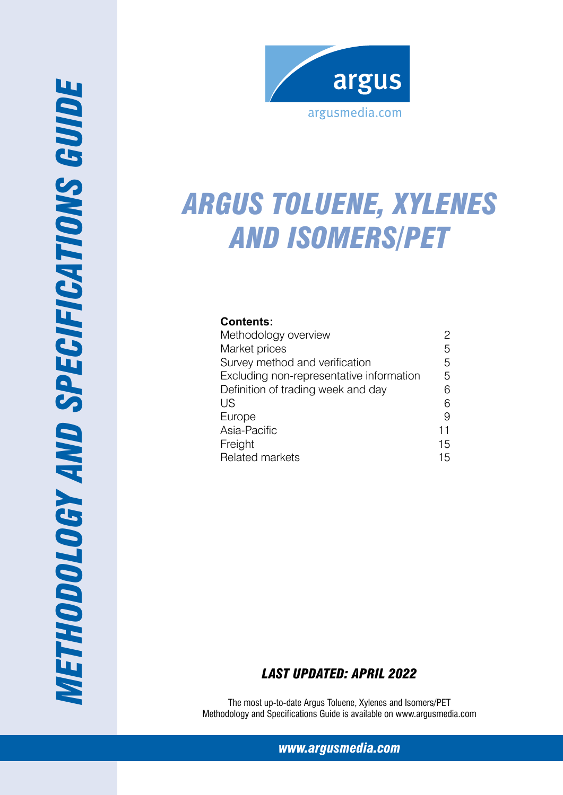

# *Arg us Toluene, Xylenes and Iso mers/PET*

# **Contents:**

| Methodology overview                     | 2  |
|------------------------------------------|----|
| Market prices                            | 5  |
| Survey method and verification           | 5  |
| Excluding non-representative information | 5  |
| Definition of trading week and day       | 6  |
| US                                       | 6  |
| Europe                                   | 9  |
| Asia-Pacific                             | 11 |
| Freight                                  | 15 |
| <b>Related markets</b>                   | 15 |

# *Last Updated: April 2022*

The most up-to-date Argus Toluene, Xylenes and Isomers/PET Methodology and Specifications Guide is available on www.argusmedia.com

*www.argusmedia.com*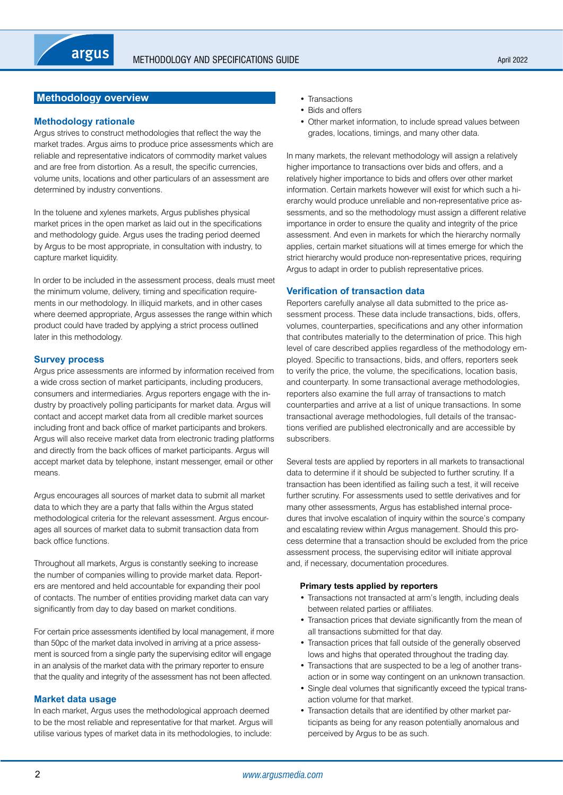# <span id="page-1-0"></span>**Methodology overview**

## **Methodology rationale**

Argus strives to construct methodologies that reflect the way the market trades. Argus aims to produce price assessments which are reliable and representative indicators of commodity market values and are free from distortion. As a result, the specific currencies, volume units, locations and other particulars of an assessment are determined by industry conventions.

In the toluene and xylenes markets, Argus publishes physical market prices in the open market as laid out in the specifications and methodology guide. Argus uses the trading period deemed by Argus to be most appropriate, in consultation with industry, to capture market liquidity.

In order to be included in the assessment process, deals must meet the minimum volume, delivery, timing and specification requirements in our methodology. In illiquid markets, and in other cases where deemed appropriate, Argus assesses the range within which product could have traded by applying a strict process outlined later in this methodology.

## **Survey process**

Argus price assessments are informed by information received from a wide cross section of market participants, including producers, consumers and intermediaries. Argus reporters engage with the industry by proactively polling participants for market data. Argus will contact and accept market data from all credible market sources including front and back office of market participants and brokers. Argus will also receive market data from electronic trading platforms and directly from the back offices of market participants. Argus will accept market data by telephone, instant messenger, email or other means.

Argus encourages all sources of market data to submit all market data to which they are a party that falls within the Argus stated methodological criteria for the relevant assessment. Argus encourages all sources of market data to submit transaction data from back office functions.

Throughout all markets, Argus is constantly seeking to increase the number of companies willing to provide market data. Reporters are mentored and held accountable for expanding their pool of contacts. The number of entities providing market data can vary significantly from day to day based on market conditions.

For certain price assessments identified by local management, if more than 50pc of the market data involved in arriving at a price assessment is sourced from a single party the supervising editor will engage in an analysis of the market data with the primary reporter to ensure that the quality and integrity of the assessment has not been affected.

### **Market data usage**

In each market, Argus uses the methodological approach deemed to be the most reliable and representative for that market. Argus will utilise various types of market data in its methodologies, to include:

- Transactions
- Bids and offers
- Other market information, to include spread values between grades, locations, timings, and many other data.

In many markets, the relevant methodology will assign a relatively higher importance to transactions over bids and offers, and a relatively higher importance to bids and offers over other market information. Certain markets however will exist for which such a hierarchy would produce unreliable and non-representative price assessments, and so the methodology must assign a different relative importance in order to ensure the quality and integrity of the price assessment. And even in markets for which the hierarchy normally applies, certain market situations will at times emerge for which the strict hierarchy would produce non-representative prices, requiring Argus to adapt in order to publish representative prices.

### **Verification of transaction data**

Reporters carefully analyse all data submitted to the price assessment process. These data include transactions, bids, offers, volumes, counterparties, specifications and any other information that contributes materially to the determination of price. This high level of care described applies regardless of the methodology employed. Specific to transactions, bids, and offers, reporters seek to verify the price, the volume, the specifications, location basis, and counterparty. In some transactional average methodologies, reporters also examine the full array of transactions to match counterparties and arrive at a list of unique transactions. In some transactional average methodologies, full details of the transactions verified are published electronically and are accessible by subscribers.

Several tests are applied by reporters in all markets to transactional data to determine if it should be subjected to further scrutiny. If a transaction has been identified as failing such a test, it will receive further scrutiny. For assessments used to settle derivatives and for many other assessments, Argus has established internal procedures that involve escalation of inquiry within the source's company and escalating review within Argus management. Should this process determine that a transaction should be excluded from the price assessment process, the supervising editor will initiate approval and, if necessary, documentation procedures.

### **Primary tests applied by reporters**

- Transactions not transacted at arm's length, including deals between related parties or affiliates.
- Transaction prices that deviate significantly from the mean of all transactions submitted for that day.
- Transaction prices that fall outside of the generally observed lows and highs that operated throughout the trading day.
- Transactions that are suspected to be a leg of another transaction or in some way contingent on an unknown transaction.
- Single deal volumes that significantly exceed the typical transaction volume for that market.
- Transaction details that are identified by other market participants as being for any reason potentially anomalous and perceived by Argus to be as such.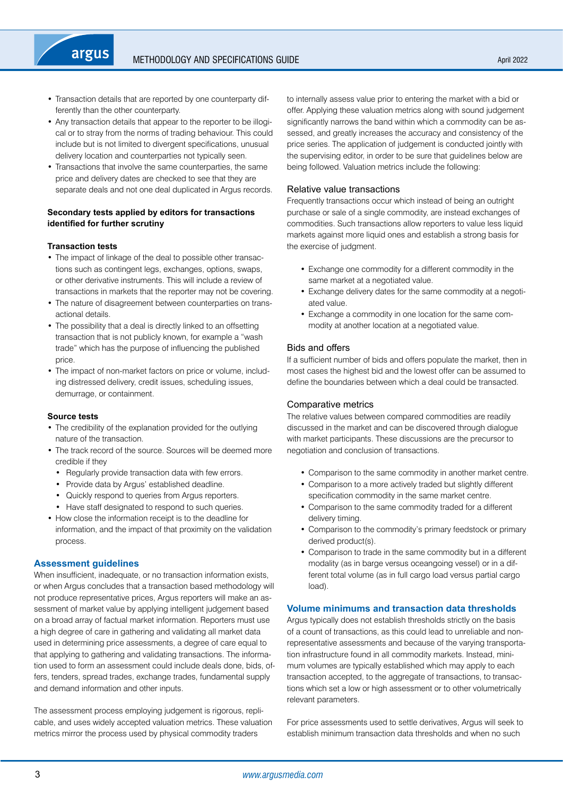- Transaction details that are reported by one counterparty differently than the other counterparty.
- Any transaction details that appear to the reporter to be illogical or to stray from the norms of trading behaviour. This could include but is not limited to divergent specifications, unusual delivery location and counterparties not typically seen.
- Transactions that involve the same counterparties, the same price and delivery dates are checked to see that they are separate deals and not one deal duplicated in Argus records.

## **Secondary tests applied by editors for transactions identified for further scrutiny**

### **Transaction tests**

argus

- The impact of linkage of the deal to possible other transactions such as contingent legs, exchanges, options, swaps, or other derivative instruments. This will include a review of transactions in markets that the reporter may not be covering.
- The nature of disagreement between counterparties on transactional details.
- The possibility that a deal is directly linked to an offsetting transaction that is not publicly known, for example a "wash trade" which has the purpose of influencing the published price.
- The impact of non-market factors on price or volume, including distressed delivery, credit issues, scheduling issues, demurrage, or containment.

#### **Source tests**

- The credibility of the explanation provided for the outlying nature of the transaction.
- The track record of the source. Sources will be deemed more credible if they
	- Regularly provide transaction data with few errors.
	- Provide data by Argus' established deadline.
	- Quickly respond to queries from Argus reporters.
- Have staff designated to respond to such queries.
- How close the information receipt is to the deadline for information, and the impact of that proximity on the validation process.

## **Assessment guidelines**

When insufficient, inadequate, or no transaction information exists, or when Argus concludes that a transaction based methodology will not produce representative prices, Argus reporters will make an assessment of market value by applying intelligent judgement based on a broad array of factual market information. Reporters must use a high degree of care in gathering and validating all market data used in determining price assessments, a degree of care equal to that applying to gathering and validating transactions. The information used to form an assessment could include deals done, bids, offers, tenders, spread trades, exchange trades, fundamental supply and demand information and other inputs.

The assessment process employing judgement is rigorous, replicable, and uses widely accepted valuation metrics. These valuation metrics mirror the process used by physical commodity traders

to internally assess value prior to entering the market with a bid or offer. Applying these valuation metrics along with sound judgement significantly narrows the band within which a commodity can be assessed, and greatly increases the accuracy and consistency of the price series. The application of judgement is conducted jointly with the supervising editor, in order to be sure that guidelines below are being followed. Valuation metrics include the following:

### Relative value transactions

Frequently transactions occur which instead of being an outright purchase or sale of a single commodity, are instead exchanges of commodities. Such transactions allow reporters to value less liquid markets against more liquid ones and establish a strong basis for the exercise of judgment.

- Exchange one commodity for a different commodity in the same market at a negotiated value.
- Exchange delivery dates for the same commodity at a negotiated value.
- Exchange a commodity in one location for the same commodity at another location at a negotiated value.

### Bids and offers

If a sufficient number of bids and offers populate the market, then in most cases the highest bid and the lowest offer can be assumed to define the boundaries between which a deal could be transacted.

### Comparative metrics

The relative values between compared commodities are readily discussed in the market and can be discovered through dialogue with market participants. These discussions are the precursor to negotiation and conclusion of transactions.

- Comparison to the same commodity in another market centre.
- Comparison to a more actively traded but slightly different specification commodity in the same market centre.
- Comparison to the same commodity traded for a different delivery timing.
- Comparison to the commodity's primary feedstock or primary derived product(s).
- Comparison to trade in the same commodity but in a different modality (as in barge versus oceangoing vessel) or in a different total volume (as in full cargo load versus partial cargo load).

## **Volume minimums and transaction data thresholds**

Argus typically does not establish thresholds strictly on the basis of a count of transactions, as this could lead to unreliable and nonrepresentative assessments and because of the varying transportation infrastructure found in all commodity markets. Instead, minimum volumes are typically established which may apply to each transaction accepted, to the aggregate of transactions, to transactions which set a low or high assessment or to other volumetrically relevant parameters.

For price assessments used to settle derivatives, Argus will seek to establish minimum transaction data thresholds and when no such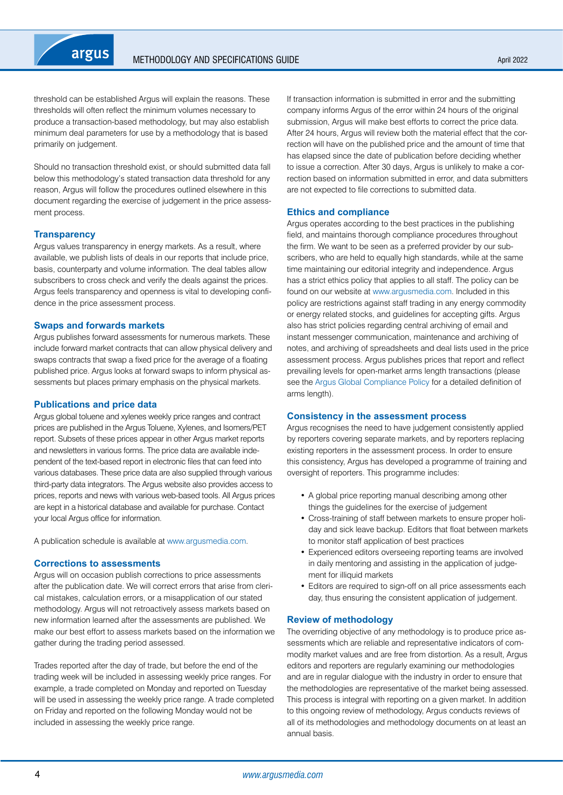

threshold can be established Argus will explain the reasons. These thresholds will often reflect the minimum volumes necessary to produce a transaction-based methodology, but may also establish minimum deal parameters for use by a methodology that is based primarily on judgement.

Should no transaction threshold exist, or should submitted data fall below this methodology's stated transaction data threshold for any reason, Argus will follow the procedures outlined elsewhere in this document regarding the exercise of judgement in the price assessment process.

#### **Transparency**

Argus values transparency in energy markets. As a result, where available, we publish lists of deals in our reports that include price, basis, counterparty and volume information. The deal tables allow subscribers to cross check and verify the deals against the prices. Argus feels transparency and openness is vital to developing confidence in the price assessment process.

#### **Swaps and forwards markets**

Argus publishes forward assessments for numerous markets. These include forward market contracts that can allow physical delivery and swaps contracts that swap a fixed price for the average of a floating published price. Argus looks at forward swaps to inform physical assessments but places primary emphasis on the physical markets.

#### **Publications and price data**

Argus global toluene and xylenes weekly price ranges and contract prices are published in the Argus Toluene, Xylenes, and Isomers/PET report. Subsets of these prices appear in other Argus market reports and newsletters in various forms. The price data are available independent of the text-based report in electronic files that can feed into various databases. These price data are also supplied through various third-party data integrators. The Argus website also provides access to prices, reports and news with various web-based tools. All Argus prices are kept in a historical database and available for purchase. Contact your local Argus office for information.

A publication schedule is available at [www.argusmedia.com](https://www.argusmedia.com/en).

#### **Corrections to assessments**

Argus will on occasion publish corrections to price assessments after the publication date. We will correct errors that arise from clerical mistakes, calculation errors, or a misapplication of our stated methodology. Argus will not retroactively assess markets based on new information learned after the assessments are published. We make our best effort to assess markets based on the information we gather during the trading period assessed.

Trades reported after the day of trade, but before the end of the trading week will be included in assessing weekly price ranges. For example, a trade completed on Monday and reported on Tuesday will be used in assessing the weekly price range. A trade completed on Friday and reported on the following Monday would not be included in assessing the weekly price range.

If transaction information is submitted in error and the submitting company informs Argus of the error within 24 hours of the original submission, Argus will make best efforts to correct the price data. After 24 hours, Argus will review both the material effect that the correction will have on the published price and the amount of time that has elapsed since the date of publication before deciding whether to issue a correction. After 30 days, Argus is unlikely to make a correction based on information submitted in error, and data submitters are not expected to file corrections to submitted data.

#### **Ethics and compliance**

Argus operates according to the best practices in the publishing field, and maintains thorough compliance procedures throughout the firm. We want to be seen as a preferred provider by our subscribers, who are held to equally high standards, while at the same time maintaining our editorial integrity and independence. Argus has a strict ethics policy that applies to all staff. The policy can be found on our website at [www.argusmedia.com.](https://www.argusmedia.com/en) Included in this policy are restrictions against staff trading in any energy commodity or energy related stocks, and guidelines for accepting gifts. Argus also has strict policies regarding central archiving of email and instant messenger communication, maintenance and archiving of notes, and archiving of spreadsheets and deal lists used in the price assessment process. Argus publishes prices that report and reflect prevailing levels for open-market arms length transactions (please see the [Argus Global Compliance Policy](http://www.argusmedia.com/about-argus/how-we-work/) for a detailed definition of arms length).

#### **Consistency in the assessment process**

Argus recognises the need to have judgement consistently applied by reporters covering separate markets, and by reporters replacing existing reporters in the assessment process. In order to ensure this consistency, Argus has developed a programme of training and oversight of reporters. This programme includes:

- A global price reporting manual describing among other things the guidelines for the exercise of judgement
- Cross-training of staff between markets to ensure proper holiday and sick leave backup. Editors that float between markets to monitor staff application of best practices
- Experienced editors overseeing reporting teams are involved in daily mentoring and assisting in the application of judgement for illiquid markets
- Editors are required to sign-off on all price assessments each day, thus ensuring the consistent application of judgement.

#### **Review of methodology**

The overriding objective of any methodology is to produce price assessments which are reliable and representative indicators of commodity market values and are free from distortion. As a result, Argus editors and reporters are regularly examining our methodologies and are in regular dialogue with the industry in order to ensure that the methodologies are representative of the market being assessed. This process is integral with reporting on a given market. In addition to this ongoing review of methodology, Argus conducts reviews of all of its methodologies and methodology documents on at least an annual basis.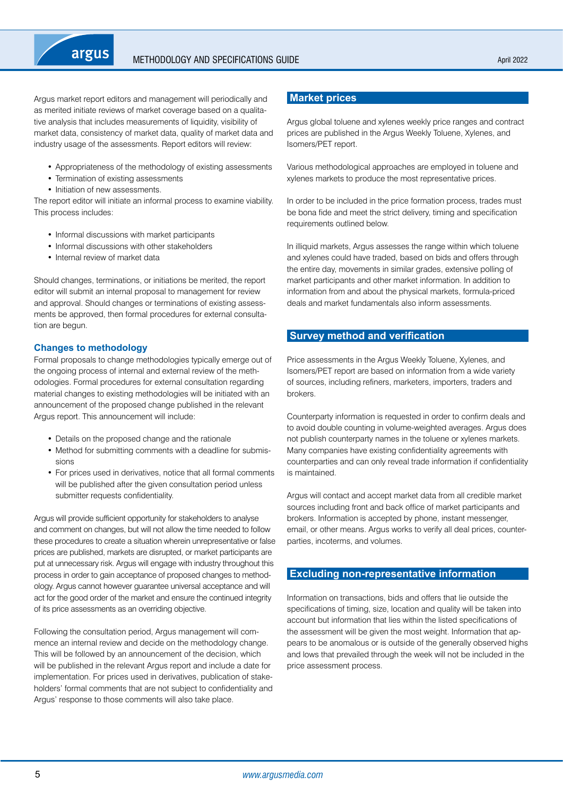<span id="page-4-0"></span>

Argus market report editors and management will periodically and as merited initiate reviews of market coverage based on a qualitative analysis that includes measurements of liquidity, visibility of market data, consistency of market data, quality of market data and industry usage of the assessments. Report editors will review:

- Appropriateness of the methodology of existing assessments
- Termination of existing assessments
- Initiation of new assessments.

The report editor will initiate an informal process to examine viability. This process includes:

- Informal discussions with market participants
- Informal discussions with other stakeholders
- Internal review of market data

Should changes, terminations, or initiations be merited, the report editor will submit an internal proposal to management for review and approval. Should changes or terminations of existing assessments be approved, then formal procedures for external consultation are begun.

### **Changes to methodology**

Formal proposals to change methodologies typically emerge out of the ongoing process of internal and external review of the methodologies. Formal procedures for external consultation regarding material changes to existing methodologies will be initiated with an announcement of the proposed change published in the relevant Argus report. This announcement will include:

- Details on the proposed change and the rationale
- Method for submitting comments with a deadline for submissions
- For prices used in derivatives, notice that all formal comments will be published after the given consultation period unless submitter requests confidentiality.

Argus will provide sufficient opportunity for stakeholders to analyse and comment on changes, but will not allow the time needed to follow these procedures to create a situation wherein unrepresentative or false prices are published, markets are disrupted, or market participants are put at unnecessary risk. Argus will engage with industry throughout this process in order to gain acceptance of proposed changes to methodology. Argus cannot however guarantee universal acceptance and will act for the good order of the market and ensure the continued integrity of its price assessments as an overriding objective.

Following the consultation period, Argus management will commence an internal review and decide on the methodology change. This will be followed by an announcement of the decision, which will be published in the relevant Argus report and include a date for implementation. For prices used in derivatives, publication of stakeholders' formal comments that are not subject to confidentiality and Argus' response to those comments will also take place.

# **Market prices**

Argus global toluene and xylenes weekly price ranges and contract prices are published in the Argus Weekly Toluene, Xylenes, and Isomers/PET report.

Various methodological approaches are employed in toluene and xylenes markets to produce the most representative prices.

In order to be included in the price formation process, trades must be bona fide and meet the strict delivery, timing and specification requirements outlined below.

In illiquid markets, Argus assesses the range within which toluene and xylenes could have traded, based on bids and offers through the entire day, movements in similar grades, extensive polling of market participants and other market information. In addition to information from and about the physical markets, formula-priced deals and market fundamentals also inform assessments.

# **Survey method and verification**

Price assessments in the Argus Weekly Toluene, Xylenes, and Isomers/PET report are based on information from a wide variety of sources, including refiners, marketers, importers, traders and brokers.

Counterparty information is requested in order to confirm deals and to avoid double counting in volume-weighted averages. Argus does not publish counterparty names in the toluene or xylenes markets. Many companies have existing confidentiality agreements with counterparties and can only reveal trade information if confidentiality is maintained.

Argus will contact and accept market data from all credible market sources including front and back office of market participants and brokers. Information is accepted by phone, instant messenger, email, or other means. Argus works to verify all deal prices, counterparties, incoterms, and volumes.

# **Excluding non-representative information**

Information on transactions, bids and offers that lie outside the specifications of timing, size, location and quality will be taken into account but information that lies within the listed specifications of the assessment will be given the most weight. Information that appears to be anomalous or is outside of the generally observed highs and lows that prevailed through the week will not be included in the price assessment process.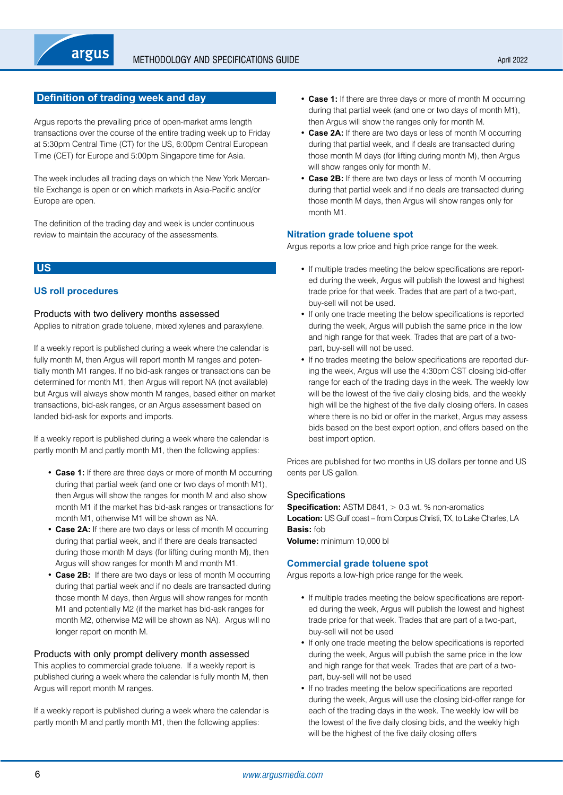# <span id="page-5-0"></span>**Definition of trading week and day**

Argus reports the prevailing price of open-market arms length transactions over the course of the entire trading week up to Friday at 5:30pm Central Time (CT) for the US, 6:00pm Central European Time (CET) for Europe and 5:00pm Singapore time for Asia.

The week includes all trading days on which the New York Mercantile Exchange is open or on which markets in Asia-Pacific and/or Europe are open.

The definition of the trading day and week is under continuous review to maintain the accuracy of the assessments.

# **US**

## **US roll procedures**

## Products with two delivery months assessed

Applies to nitration grade toluene, mixed xylenes and paraxylene.

If a weekly report is published during a week where the calendar is fully month M, then Argus will report month M ranges and potentially month M1 ranges. If no bid-ask ranges or transactions can be determined for month M1, then Argus will report NA (not available) but Argus will always show month M ranges, based either on market transactions, bid-ask ranges, or an Argus assessment based on landed bid-ask for exports and imports.

If a weekly report is published during a week where the calendar is partly month M and partly month M1, then the following applies:

- **Case 1:** If there are three days or more of month M occurring during that partial week (and one or two days of month M1), then Argus will show the ranges for month M and also show month M1 if the market has bid-ask ranges or transactions for month M1, otherwise M1 will be shown as NA.
- **Case 2A:** If there are two days or less of month M occurring during that partial week, and if there are deals transacted during those month M days (for lifting during month M), then Argus will show ranges for month M and month M1.
- **Case 2B:** If there are two days or less of month M occurring during that partial week and if no deals are transacted during those month M days, then Argus will show ranges for month M1 and potentially M2 (if the market has bid-ask ranges for month M2, otherwise M2 will be shown as NA). Argus will no longer report on month M.

### Products with only prompt delivery month assessed

This applies to commercial grade toluene. If a weekly report is published during a week where the calendar is fully month M, then Argus will report month M ranges.

If a weekly report is published during a week where the calendar is partly month M and partly month M1, then the following applies:

- **Case 1:** If there are three days or more of month M occurring during that partial week (and one or two days of month M1), then Argus will show the ranges only for month M.
- **Case 2A:** If there are two days or less of month M occurring during that partial week, and if deals are transacted during those month M days (for lifting during month M), then Argus will show ranges only for month M.
- **Case 2B:** If there are two days or less of month M occurring during that partial week and if no deals are transacted during those month M days, then Argus will show ranges only for month M1.

## **Nitration grade toluene spot**

Argus reports a low price and high price range for the week.

- If multiple trades meeting the below specifications are reported during the week, Argus will publish the lowest and highest trade price for that week. Trades that are part of a two-part, buy-sell will not be used.
- If only one trade meeting the below specifications is reported during the week, Argus will publish the same price in the low and high range for that week. Trades that are part of a twopart, buy-sell will not be used.
- If no trades meeting the below specifications are reported during the week, Argus will use the 4:30pm CST closing bid-offer range for each of the trading days in the week. The weekly low will be the lowest of the five daily closing bids, and the weekly high will be the highest of the five daily closing offers. In cases where there is no bid or offer in the market, Argus may assess bids based on the best export option, and offers based on the best import option.

Prices are published for two months in US dollars per tonne and US cents per US gallon.

### **Specifications**

**Specification:** ASTM D841, > 0.3 wt. % non-aromatics **Location:** US Gulf coast – from Corpus Christi, TX, to Lake Charles, LA **Basis:** fob

**Volume:** minimum 10,000 bl

### **Commercial grade toluene spot**

Argus reports a low-high price range for the week.

- If multiple trades meeting the below specifications are reported during the week, Argus will publish the lowest and highest trade price for that week. Trades that are part of a two-part, buy-sell will not be used
- If only one trade meeting the below specifications is reported during the week, Argus will publish the same price in the low and high range for that week. Trades that are part of a twopart, buy-sell will not be used
- If no trades meeting the below specifications are reported during the week, Argus will use the closing bid-offer range for each of the trading days in the week. The weekly low will be the lowest of the five daily closing bids, and the weekly high will be the highest of the five daily closing offers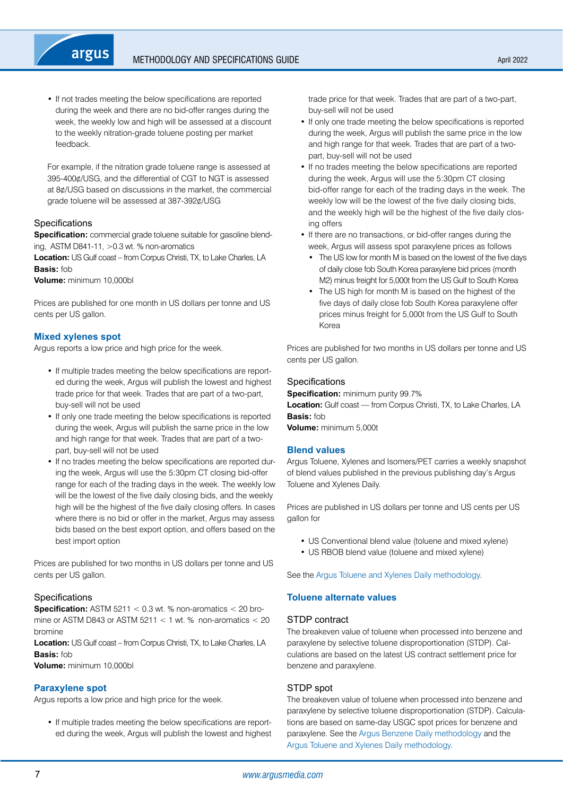• If not trades meeting the below specifications are reported during the week and there are no bid-offer ranges during the week, the weekly low and high will be assessed at a discount to the weekly nitration-grade toluene posting per market feedback.

For example, if the nitration grade toluene range is assessed at 395-400¢/USG, and the differential of CGT to NGT is assessed at 8¢/USG based on discussions in the market, the commercial grade toluene will be assessed at 387-392¢/USG

## **Specifications**

**Specification:** commercial grade toluene suitable for gasoline blending, ASTM D841-11, >0.3 wt. % non-aromatics

**Location:** US Gulf coast – from Corpus Christi, TX, to Lake Charles, LA **Basis:** fob

**Volume:** minimum 10,000bl

Prices are published for one month in US dollars per tonne and US cents per US gallon.

## **Mixed xylenes spot**

Argus reports a low price and high price for the week.

- If multiple trades meeting the below specifications are reported during the week, Argus will publish the lowest and highest trade price for that week. Trades that are part of a two-part, buy-sell will not be used
- If only one trade meeting the below specifications is reported during the week, Argus will publish the same price in the low and high range for that week. Trades that are part of a twopart, buy-sell will not be used
- If no trades meeting the below specifications are reported during the week, Argus will use the 5:30pm CT closing bid-offer range for each of the trading days in the week. The weekly low will be the lowest of the five daily closing bids, and the weekly high will be the highest of the five daily closing offers. In cases where there is no bid or offer in the market, Argus may assess bids based on the best export option, and offers based on the best import option

Prices are published for two months in US dollars per tonne and US cents per US gallon.

## **Specifications**

**Specification:** ASTM 5211 < 0.3 wt. % non-aromatics < 20 bromine or ASTM D843 or ASTM  $5211 < 1$  wt. % non-aromatics  $< 20$ bromine

**Location:** US Gulf coast – from Corpus Christi, TX, to Lake Charles, LA **Basis:** fob

**Volume:** minimum 10,000bl

### **Paraxylene spot**

Argus reports a low price and high price for the week.

• If multiple trades meeting the below specifications are reported during the week, Argus will publish the lowest and highest trade price for that week. Trades that are part of a two-part, buy-sell will not be used

- If only one trade meeting the below specifications is reported during the week, Argus will publish the same price in the low and high range for that week. Trades that are part of a twopart, buy-sell will not be used
- If no trades meeting the below specifications are reported during the week, Argus will use the 5:30pm CT closing bid-offer range for each of the trading days in the week. The weekly low will be the lowest of the five daily closing bids, and the weekly high will be the highest of the five daily closing offers
- If there are no transactions, or bid-offer ranges during the week, Argus will assess spot paraxylene prices as follows
	- The US low for month M is based on the lowest of the five days of daily close fob South Korea paraxylene bid prices (month M2) minus freight for 5,000t from the US Gulf to South Korea
- The US high for month M is based on the highest of the five days of daily close fob South Korea paraxylene offer prices minus freight for 5,000t from the US Gulf to South Korea

Prices are published for two months in US dollars per tonne and US cents per US gallon.

## Specifications

**Specification:** minimum purity 99.7% **Location:** Gulf coast — from Corpus Christi, TX, to Lake Charles, LA **Basis:** fob **Volume:** minimum 5,000t

#### **Blend values**

Argus Toluene, Xylenes and Isomers/PET carries a weekly snapshot of blend values published in the previous publishing day's Argus Toluene and Xylenes Daily.

Prices are published in US dollars per tonne and US cents per US gallon for

- US Conventional blend value (toluene and mixed xylene)
- US RBOB blend value (toluene and mixed xylene)

See the [Argus Toluene and Xylenes Daily methodology](https://www.argusmedia.com/-/media/Files/methodology/argus-toluene-and-xylenes-daily.ashx).

# **Toluene alternate values**

### STDP contract

The breakeven value of toluene when processed into benzene and paraxylene by selective toluene disproportionation (STDP). Calculations are based on the latest US contract settlement price for benzene and paraxylene.

#### STDP spot

The breakeven value of toluene when processed into benzene and paraxylene by selective toluene disproportionation (STDP). Calculations are based on same-day USGC spot prices for benzene and paraxylene. See the [Argus Benzene Daily methodology](https://www.argusmedia.com/-/media/Files/methodology/argus-benzene-daily.ashx) and the [Argus Toluene and Xylenes Daily methodology.](https://www.argusmedia.com/-/media/Files/methodology/argus-toluene-and-xylenes-daily.ashx)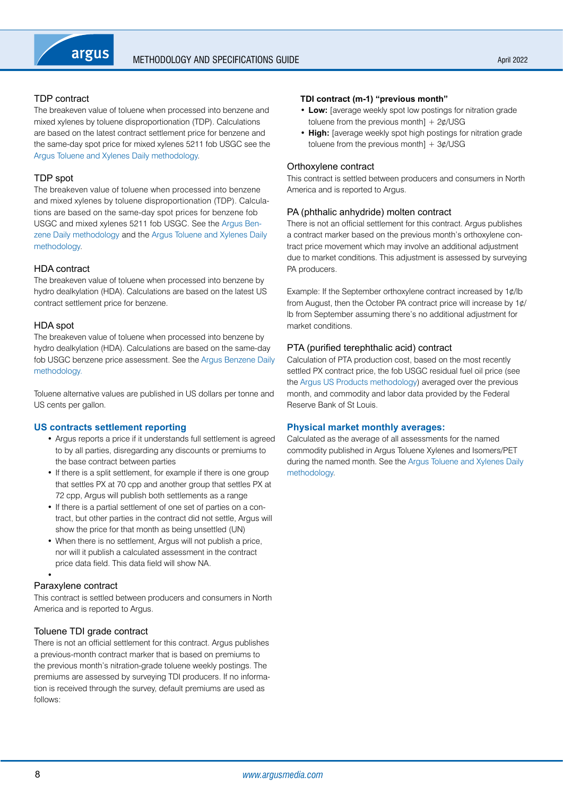# TDP contract

The breakeven value of toluene when processed into benzene and mixed xylenes by toluene disproportionation (TDP). Calculations are based on the latest contract settlement price for benzene and the same-day spot price for mixed xylenes 5211 fob USGC see the [Argus Toluene and Xylenes Daily methodology](https://www.argusmedia.com/-/media/Files/methodology/argus-toluene-and-xylenes-daily.ashx).

# TDP spot

The breakeven value of toluene when processed into benzene and mixed xylenes by toluene disproportionation (TDP). Calculations are based on the same-day spot prices for benzene fob USGC and mixed xylenes 5211 fob USGC. See the [Argus Ben](https://www.argusmedia.com/-/media/Files/methodology/argus-benzene-daily.ashx)[zene Daily methodology](https://www.argusmedia.com/-/media/Files/methodology/argus-benzene-daily.ashx) and the [Argus Toluene and Xylenes Daily](https://www.argusmedia.com/-/media/Files/methodology/argus-toluene-and-xylenes-daily.ashx)  [methodology.](https://www.argusmedia.com/-/media/Files/methodology/argus-toluene-and-xylenes-daily.ashx)

# HDA contract

The breakeven value of toluene when processed into benzene by hydro dealkylation (HDA). Calculations are based on the latest US contract settlement price for benzene.

# HDA spot

The breakeven value of toluene when processed into benzene by hydro dealkylation (HDA). Calculations are based on the same-day fob USGC benzene price assessment. See the [Argus Benzene Daily](https://www.argusmedia.com/-/media/Files/methodology/argus-benzene-daily.ashx)  [methodology.](https://www.argusmedia.com/-/media/Files/methodology/argus-benzene-daily.ashx)

Toluene alternative values are published in US dollars per tonne and US cents per gallon.

# **US contracts settlement reporting**

- Argus reports a price if it understands full settlement is agreed to by all parties, disregarding any discounts or premiums to the base contract between parties
- If there is a split settlement, for example if there is one group that settles PX at 70 cpp and another group that settles PX at 72 cpp, Argus will publish both settlements as a range
- If there is a partial settlement of one set of parties on a contract, but other parties in the contract did not settle, Argus will show the price for that month as being unsettled (UN)
- When there is no settlement. Argus will not publish a price, nor will it publish a calculated assessment in the contract price data field. This data field will show NA.

#### • Paraxylene contract

This contract is settled between producers and consumers in North America and is reported to Argus.

# Toluene TDI grade contract

There is not an official settlement for this contract. Argus publishes a previous-month contract marker that is based on premiums to the previous month's nitration-grade toluene weekly postings. The premiums are assessed by surveying TDI producers. If no information is received through the survey, default premiums are used as follows:

#### **TDI contract (m-1) "previous month"**

- **Low:** [average weekly spot low postings for nitration grade toluene from the previous month]  $+ 2¢/USG$
- **High:** [average weekly spot high postings for nitration grade toluene from the previous month]  $+ 3¢/USG$

### Orthoxylene contract

This contract is settled between producers and consumers in North America and is reported to Argus.

## PA (phthalic anhydride) molten contract

There is not an official settlement for this contract. Argus publishes a contract marker based on the previous month's orthoxylene contract price movement which may involve an additional adjustment due to market conditions. This adjustment is assessed by surveying PA producers.

Example: If the September orthoxylene contract increased by 1¢/lb from August, then the October PA contract price will increase by 1¢/ lb from September assuming there's no additional adjustment for market conditions.

### PTA (purified terephthalic acid) contract

Calculation of PTA production cost, based on the most recently settled PX contract price, the fob USGC residual fuel oil price (see the [Argus US Products methodology](https://www.argusmedia.com/-/media/Files/methodology/argus-us-products.ashx)) averaged over the previous month, and commodity and labor data provided by the Federal Reserve Bank of St Louis.

## **Physical market monthly averages:**

Calculated as the average of all assessments for the named commodity published in Argus Toluene Xylenes and Isomers/PET during the named month. See the [Argus Toluene and Xylenes Daily](https://www.argusmedia.com/-/media/Files/methodology/argus-toluene-and-xylenes-daily.ashx)  [methodology](https://www.argusmedia.com/-/media/Files/methodology/argus-toluene-and-xylenes-daily.ashx).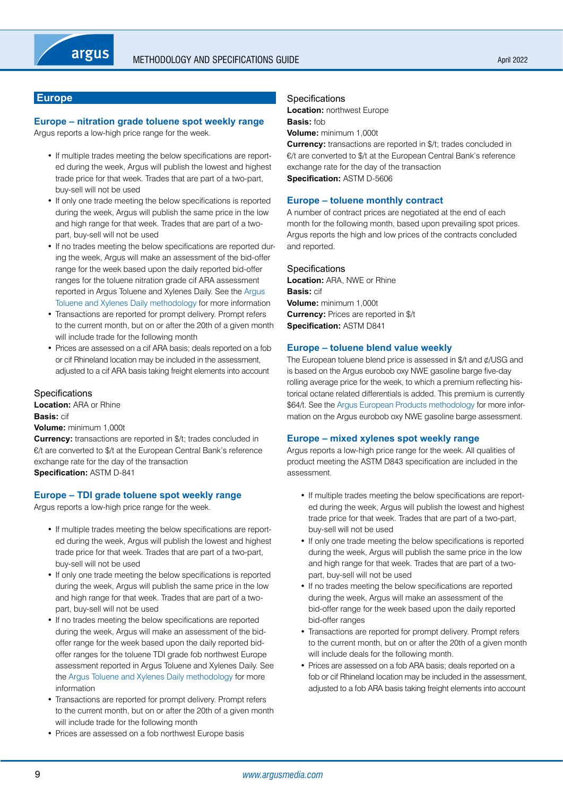# <span id="page-8-0"></span>**Europe**

# **Europe – nitration grade toluene spot weekly range**

Argus reports a low-high price range for the week.

- If multiple trades meeting the below specifications are reported during the week, Argus will publish the lowest and highest trade price for that week. Trades that are part of a two-part, buy-sell will not be used
- If only one trade meeting the below specifications is reported during the week, Argus will publish the same price in the low and high range for that week. Trades that are part of a twopart, buy-sell will not be used
- If no trades meeting the below specifications are reported during the week, Argus will make an assessment of the bid-offer range for the week based upon the daily reported bid-offer ranges for the toluene nitration grade cif ARA assessment reported in Argus Toluene and Xylenes Daily. See the [Argus](https://www.argusmedia.com/-/media/Files/methodology/argus-toluene-and-xylenes-daily.ashx)  [Toluene and Xylenes Daily methodology](https://www.argusmedia.com/-/media/Files/methodology/argus-toluene-and-xylenes-daily.ashx) for more information
- Transactions are reported for prompt delivery. Prompt refers to the current month, but on or after the 20th of a given month will include trade for the following month
- Prices are assessed on a cif ARA basis; deals reported on a fob or cif Rhineland location may be included in the assessment, adjusted to a cif ARA basis taking freight elements into account

## **Specifications**

**Location:** ARA or Rhine **Basis:** cif **Volume:** minimum 1,000t

**Currency:** transactions are reported in \$/t; trades concluded in €/t are converted to \$/t at the European Central Bank's reference exchange rate for the day of the transaction **Specification:** ASTM D-841

# **Europe – TDI grade toluene spot weekly range**

Argus reports a low-high price range for the week.

- If multiple trades meeting the below specifications are reported during the week, Argus will publish the lowest and highest trade price for that week. Trades that are part of a two-part, buy-sell will not be used
- If only one trade meeting the below specifications is reported during the week, Argus will publish the same price in the low and high range for that week. Trades that are part of a twopart, buy-sell will not be used
- If no trades meeting the below specifications are reported during the week, Argus will make an assessment of the bidoffer range for the week based upon the daily reported bidoffer ranges for the toluene TDI grade fob northwest Europe assessment reported in Argus Toluene and Xylenes Daily. See the [Argus Toluene and Xylenes Daily methodology](https://www.argusmedia.com/-/media/Files/methodology/argus-toluene-and-xylenes-daily.ashx) for more information
- Transactions are reported for prompt delivery. Prompt refers to the current month, but on or after the 20th of a given month will include trade for the following month
- Prices are assessed on a fob northwest Europe basis

#### Specifications

**Location:** northwest Europe **Basis:** fob

**Volume:** minimum 1,000t

**Currency:** transactions are reported in \$/t; trades concluded in €/t are converted to \$/t at the European Central Bank's reference exchange rate for the day of the transaction **Specification:** ASTM D-5606

#### **Europe – toluene monthly contract**

A number of contract prices are negotiated at the end of each month for the following month, based upon prevailing spot prices. Argus reports the high and low prices of the contracts concluded and reported.

#### **Specifications**

**Location:** ARA, NWE or Rhine **Basis:** cif **Volume:** minimum 1,000t **Currency:** Prices are reported in \$/t **Specification:** ASTM D841

#### **Europe – toluene blend value weekly**

The European toluene blend price is assessed in \$/t and ¢/USG and is based on the Argus eurobob oxy NWE gasoline barge five-day rolling average price for the week, to which a premium reflecting historical octane related differentials is added. This premium is currently \$64/t. See the [Argus European Products methodology](https://www.argusmedia.com/-/media/Files/methodology/argus-european-products.ashx) for more information on the Argus eurobob oxy NWE gasoline barge assessment.

## **Europe – mixed xylenes spot weekly range**

Argus reports a low-high price range for the week. All qualities of product meeting the ASTM D843 specification are included in the assessment.

- If multiple trades meeting the below specifications are reported during the week, Argus will publish the lowest and highest trade price for that week. Trades that are part of a two-part, buy-sell will not be used
- If only one trade meeting the below specifications is reported during the week, Argus will publish the same price in the low and high range for that week. Trades that are part of a twopart, buy-sell will not be used
- If no trades meeting the below specifications are reported during the week, Argus will make an assessment of the bid-offer range for the week based upon the daily reported bid-offer ranges
- Transactions are reported for prompt delivery. Prompt refers to the current month, but on or after the 20th of a given month will include deals for the following month.
- Prices are assessed on a fob ARA basis; deals reported on a fob or cif Rhineland location may be included in the assessment, adjusted to a fob ARA basis taking freight elements into account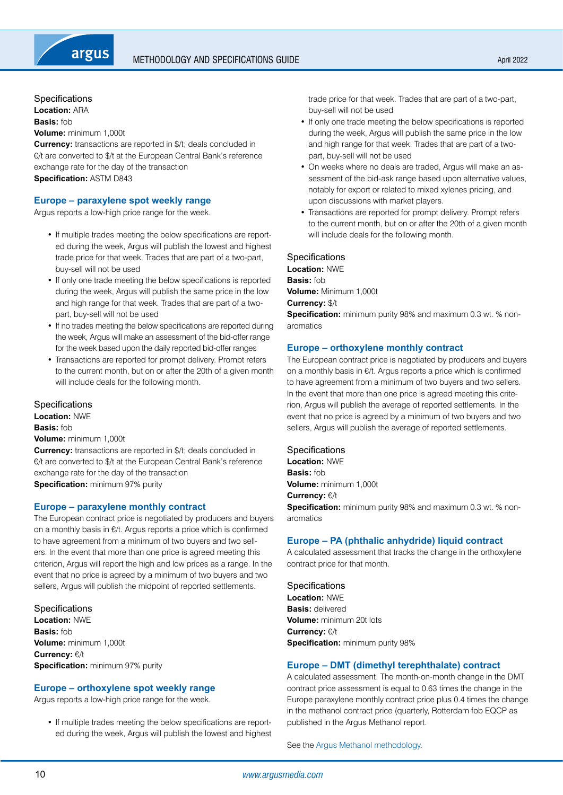**Specifications** 

**Location:** ARA

**Basis:** fob **Volume:** minimum 1,000t

**Currency:** transactions are reported in \$/t; deals concluded in €/t are converted to \$/t at the European Central Bank's reference exchange rate for the day of the transaction **Specification:** ASTM D843

## **Europe – paraxylene spot weekly range**

Argus reports a low-high price range for the week.

- If multiple trades meeting the below specifications are reported during the week, Argus will publish the lowest and highest trade price for that week. Trades that are part of a two-part, buy-sell will not be used
- If only one trade meeting the below specifications is reported during the week, Argus will publish the same price in the low and high range for that week. Trades that are part of a twopart, buy-sell will not be used
- If no trades meeting the below specifications are reported during the week, Argus will make an assessment of the bid-offer range for the week based upon the daily reported bid-offer ranges
- Transactions are reported for prompt delivery. Prompt refers to the current month, but on or after the 20th of a given month will include deals for the following month.

**Specifications** 

**Location:** NWE **Basis:** fob **Volume:** minimum 1,000t **Currency:** transactions are reported in \$/t; deals concluded in

€/t are converted to \$/t at the European Central Bank's reference exchange rate for the day of the transaction **Specification:** minimum 97% purity

### **Europe – paraxylene monthly contract**

The European contract price is negotiated by producers and buyers on a monthly basis in €/t. Argus reports a price which is confirmed to have agreement from a minimum of two buyers and two sellers. In the event that more than one price is agreed meeting this criterion, Argus will report the high and low prices as a range. In the event that no price is agreed by a minimum of two buyers and two sellers, Argus will publish the midpoint of reported settlements.

**Specifications Location:** NWE **Basis:** fob **Volume:** minimum 1,000t **Currency:** €/t **Specification:** minimum 97% purity

# **Europe – orthoxylene spot weekly range**

Argus reports a low-high price range for the week.

• If multiple trades meeting the below specifications are reported during the week, Argus will publish the lowest and highest trade price for that week. Trades that are part of a two-part, buy-sell will not be used

- If only one trade meeting the below specifications is reported during the week, Argus will publish the same price in the low and high range for that week. Trades that are part of a twopart, buy-sell will not be used
- On weeks where no deals are traded, Argus will make an assessment of the bid-ask range based upon alternative values, notably for export or related to mixed xylenes pricing, and upon discussions with market players.
- Transactions are reported for prompt delivery. Prompt refers to the current month, but on or after the 20th of a given month will include deals for the following month.

### **Specifications**

**Location:** NWE **Basis:** fob **Volume:** Minimum 1,000t **Currency:** \$/t **Specification:** minimum purity 98% and maximum 0.3 wt. % nonaromatics

# **Europe – orthoxylene monthly contract**

The European contract price is negotiated by producers and buyers on a monthly basis in €/t. Argus reports a price which is confirmed to have agreement from a minimum of two buyers and two sellers. In the event that more than one price is agreed meeting this criterion, Argus will publish the average of reported settlements. In the event that no price is agreed by a minimum of two buyers and two sellers, Argus will publish the average of reported settlements.

**Specifications** 

**Location:** NWE **Basis:** fob **Volume:** minimum 1,000t **Currency:** €/t **Specification:** minimum purity 98% and maximum 0.3 wt. % nonaromatics

## **Europe – PA (phthalic anhydride) liquid contract**

A calculated assessment that tracks the change in the orthoxylene contract price for that month.

**Specifications Location:** NWE **Basis:** delivered **Volume:** minimum 20t lots **Currency:** €/t **Specification:** minimum purity 98%

# **Europe – DMT (dimethyl terephthalate) contract**

A calculated assessment. The month-on-month change in the DMT contract price assessment is equal to 0.63 times the change in the Europe paraxylene monthly contract price plus 0.4 times the change in the methanol contract price (quarterly, Rotterdam fob EQCP as published in the Argus Methanol report.

See the Argus Methanol methodology.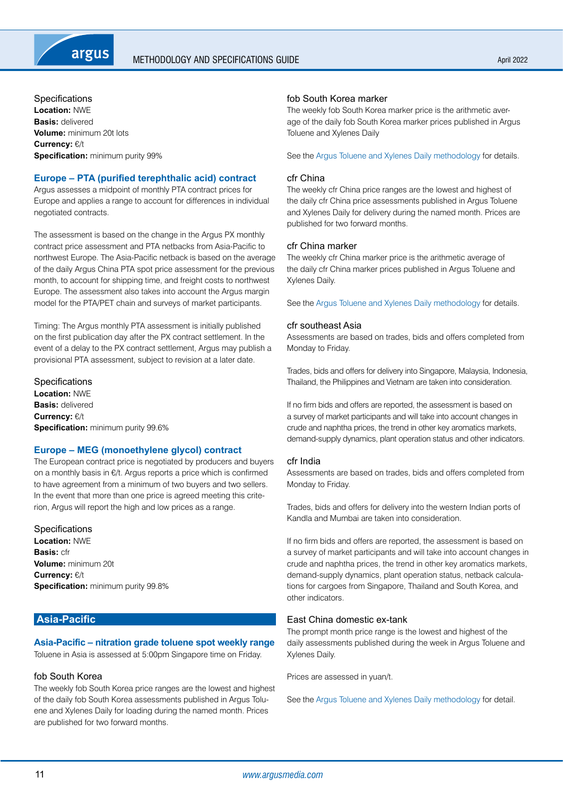<span id="page-10-0"></span>

**Specifications Location:** NWE **Basis:** delivered **Volume:** minimum 20t lots **Currency:** €/t **Specification:** minimum purity 99%

## **Europe – PTA (purified terephthalic acid) contract**

Argus assesses a midpoint of monthly PTA contract prices for Europe and applies a range to account for differences in individual negotiated contracts.

The assessment is based on the change in the Argus PX monthly contract price assessment and PTA netbacks from Asia-Pacific to northwest Europe. The Asia-Pacific netback is based on the average of the daily Argus China PTA spot price assessment for the previous month, to account for shipping time, and freight costs to northwest Europe. The assessment also takes into account the Argus margin model for the PTA/PET chain and surveys of market participants.

Timing: The Argus monthly PTA assessment is initially published on the first publication day after the PX contract settlement. In the event of a delay to the PX contract settlement, Argus may publish a provisional PTA assessment, subject to revision at a later date.

**Specifications Location:** NWE **Basis:** delivered **Currency:** €/t **Specification:** minimum purity 99.6%

## **Europe – MEG (monoethylene glycol) contract**

The European contract price is negotiated by producers and buyers on a monthly basis in €/t. Argus reports a price which is confirmed to have agreement from a minimum of two buyers and two sellers. In the event that more than one price is agreed meeting this criterion, Argus will report the high and low prices as a range.

**Specifications Location:** NWE **Basis:** cfr **Volume:** minimum 20t **Currency:** €/t **Specification:** minimum purity 99.8%

# **Asia-Pacific**

# **Asia-Pacific – nitration grade toluene spot weekly range**

Toluene in Asia is assessed at 5:00pm Singapore time on Friday.

## fob South Korea

The weekly fob South Korea price ranges are the lowest and highest of the daily fob South Korea assessments published in Argus Toluene and Xylenes Daily for loading during the named month. Prices are published for two forward months.

## fob South Korea marker

The weekly fob South Korea marker price is the arithmetic average of the daily fob South Korea marker prices published in Argus Toluene and Xylenes Daily

See the [Argus Toluene and Xylenes Daily methodology](https://www.argusmedia.com/-/media/Files/methodology/argus-toluene-and-xylenes-daily.ashx)for details.

#### cfr China

The weekly cfr China price ranges are the lowest and highest of the daily cfr China price assessments published in Argus Toluene and Xylenes Daily for delivery during the named month. Prices are published for two forward months.

#### cfr China marker

The weekly cfr China marker price is the arithmetic average of the daily cfr China marker prices published in Argus Toluene and Xylenes Daily.

See the [Argus Toluene and Xylenes Daily methodology](https://www.argusmedia.com/-/media/Files/methodology/argus-toluene-and-xylenes-daily.ashx) for details.

#### cfr southeast Asia

Assessments are based on trades, bids and offers completed from Monday to Friday.

Trades, bids and offers for delivery into Singapore, Malaysia, Indonesia, Thailand, the Philippines and Vietnam are taken into consideration.

If no firm bids and offers are reported, the assessment is based on a survey of market participants and will take into account changes in crude and naphtha prices, the trend in other key aromatics markets, demand-supply dynamics, plant operation status and other indicators.

#### cfr India

Assessments are based on trades, bids and offers completed from Monday to Friday.

Trades, bids and offers for delivery into the western Indian ports of Kandla and Mumbai are taken into consideration.

If no firm bids and offers are reported, the assessment is based on a survey of market participants and will take into account changes in crude and naphtha prices, the trend in other key aromatics markets, demand-supply dynamics, plant operation status, netback calculations for cargoes from Singapore, Thailand and South Korea, and other indicators.

### East China domestic ex-tank

The prompt month price range is the lowest and highest of the daily assessments published during the week in Argus Toluene and Xylenes Daily.

Prices are assessed in yuan/t.

See the [Argus Toluene and Xylenes Daily methodology](https://www.argusmedia.com/-/media/Files/methodology/argus-toluene-and-xylenes-daily.ashx) for detail.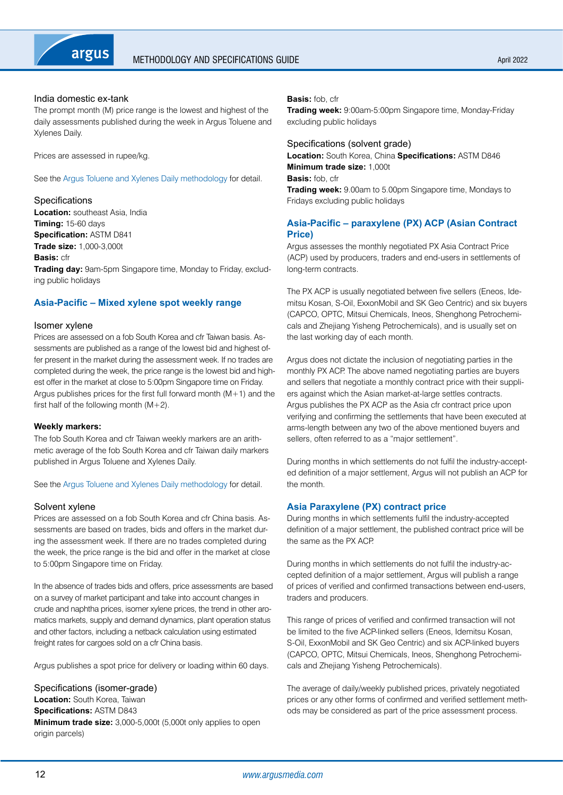

### India domestic ex-tank

The prompt month (M) price range is the lowest and highest of the daily assessments published during the week in Argus Toluene and Xylenes Daily.

Prices are assessed in rupee/kg.

See the [Argus Toluene and Xylenes Daily methodology](https://www.argusmedia.com/-/media/Files/methodology/argus-toluene-and-xylenes-daily.ashx) for detail.

#### Specifications

**Location:** southeast Asia, India **Timing:** 15-60 days **Specification:** ASTM D841 **Trade size:** 1,000-3,000t **Basis:** cfr **Trading day:** 9am-5pm Singapore time, Monday to Friday, excluding public holidays

### **Asia-Pacific – Mixed xylene spot weekly range**

#### Isomer xylene

Prices are assessed on a fob South Korea and cfr Taiwan basis. Assessments are published as a range of the lowest bid and highest offer present in the market during the assessment week. If no trades are completed during the week, the price range is the lowest bid and highest offer in the market at close to 5:00pm Singapore time on Friday. Argus publishes prices for the first full forward month  $(M+1)$  and the first half of the following month  $(M+2)$ .

#### **Weekly markers:**

The fob South Korea and cfr Taiwan weekly markers are an arithmetic average of the fob South Korea and cfr Taiwan daily markers published in Argus Toluene and Xylenes Daily.

See the [Argus Toluene and Xylenes Daily methodology](https://www.argusmedia.com/-/media/Files/methodology/argus-toluene-and-xylenes-daily.ashx) for detail.

#### Solvent xylene

Prices are assessed on a fob South Korea and cfr China basis. Assessments are based on trades, bids and offers in the market during the assessment week. If there are no trades completed during the week, the price range is the bid and offer in the market at close to 5:00pm Singapore time on Friday.

In the absence of trades bids and offers, price assessments are based on a survey of market participant and take into account changes in crude and naphtha prices, isomer xylene prices, the trend in other aromatics markets, supply and demand dynamics, plant operation status and other factors, including a netback calculation using estimated freight rates for cargoes sold on a cfr China basis.

Argus publishes a spot price for delivery or loading within 60 days.

Specifications (isomer-grade) **Location:** South Korea, Taiwan **Specifications:** ASTM D843 **Minimum trade size:** 3,000-5,000t (5,000t only applies to open origin parcels)

#### **Basis:** fob, cfr

**Trading week:** 9:00am-5:00pm Singapore time, Monday-Friday excluding public holidays

### Specifications (solvent grade)

**Location:** South Korea, China **Specifications:** ASTM D846 **Minimum trade size:** 1,000t **Basis:** fob, cfr

**Trading week:** 9.00am to 5.00pm Singapore time, Mondays to Fridays excluding public holidays

## **Asia-Pacific – paraxylene (PX) ACP (Asian Contract Price)**

Argus assesses the monthly negotiated PX Asia Contract Price (ACP) used by producers, traders and end-users in settlements of long-term contracts.

The PX ACP is usually negotiated between five sellers (Eneos, Idemitsu Kosan, S-Oil, ExxonMobil and SK Geo Centric) and six buyers (CAPCO, OPTC, Mitsui Chemicals, Ineos, Shenghong Petrochemicals and Zhejiang Yisheng Petrochemicals), and is usually set on the last working day of each month.

Argus does not dictate the inclusion of negotiating parties in the monthly PX ACP. The above named negotiating parties are buyers and sellers that negotiate a monthly contract price with their suppliers against which the Asian market-at-large settles contracts. Argus publishes the PX ACP as the Asia cfr contract price upon verifying and confirming the settlements that have been executed at arms-length between any two of the above mentioned buyers and sellers, often referred to as a "major settlement".

During months in which settlements do not fulfil the industry-accepted definition of a major settlement, Argus will not publish an ACP for the month.

#### **Asia Paraxylene (PX) contract price**

During months in which settlements fulfil the industry-accepted definition of a major settlement, the published contract price will be the same as the PX ACP.

During months in which settlements do not fulfil the industry-accepted definition of a major settlement, Argus will publish a range of prices of verified and confirmed transactions between end-users, traders and producers.

This range of prices of verified and confirmed transaction will not be limited to the five ACP-linked sellers (Eneos, Idemitsu Kosan, S-Oil, ExxonMobil and SK Geo Centric) and six ACP-linked buyers (CAPCO, OPTC, Mitsui Chemicals, Ineos, Shenghong Petrochemicals and Zhejiang Yisheng Petrochemicals).

The average of daily/weekly published prices, privately negotiated prices or any other forms of confirmed and verified settlement methods may be considered as part of the price assessment process.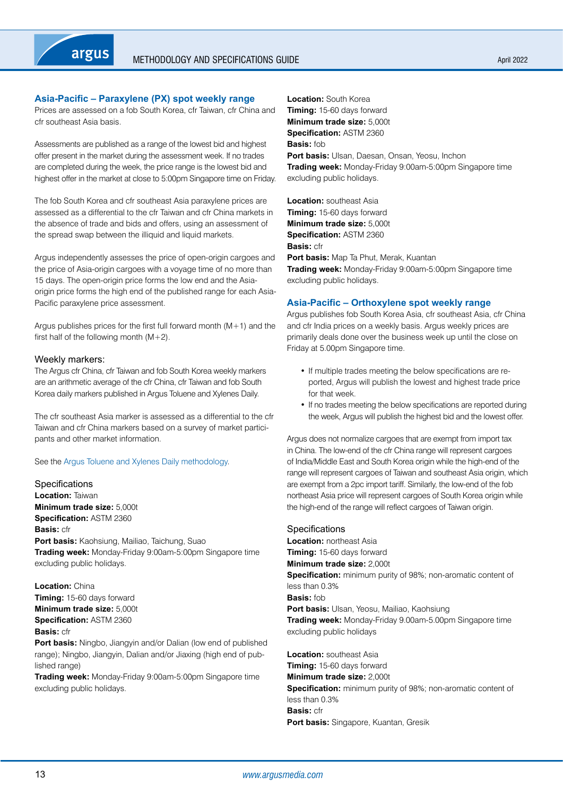## **Asia-Pacific – Paraxylene (PX) spot weekly range**

Prices are assessed on a fob South Korea, cfr Taiwan, cfr China and cfr southeast Asia basis.

Assessments are published as a range of the lowest bid and highest offer present in the market during the assessment week. If no trades are completed during the week, the price range is the lowest bid and highest offer in the market at close to 5:00pm Singapore time on Friday.

The fob South Korea and cfr southeast Asia paraxylene prices are assessed as a differential to the cfr Taiwan and cfr China markets in the absence of trade and bids and offers, using an assessment of the spread swap between the illiquid and liquid markets.

Argus independently assesses the price of open-origin cargoes and the price of Asia-origin cargoes with a voyage time of no more than 15 days. The open-origin price forms the low end and the Asiaorigin price forms the high end of the published range for each Asia-Pacific paraxylene price assessment.

Argus publishes prices for the first full forward month  $(M+1)$  and the first half of the following month  $(M+2)$ .

### Weekly markers:

The Argus cfr China, cfr Taiwan and fob South Korea weekly markers are an arithmetic average of the cfr China, cfr Taiwan and fob South Korea daily markers published in Argus Toluene and Xylenes Daily.

The cfr southeast Asia marker is assessed as a differential to the cfr Taiwan and cfr China markers based on a survey of market participants and other market information.

See the [Argus Toluene and Xylenes Daily methodology.](https://www.argusmedia.com/-/media/Files/methodology/argus-toluene-and-xylenes-daily.ashx)

**Specifications Location:** Taiwan **Minimum trade size:** 5,000t **Specification:** ASTM 2360 **Basis:** cfr **Port basis:** Kaohsiung, Mailiao, Taichung, Suao **Trading week:** Monday-Friday 9:00am-5:00pm Singapore time excluding public holidays.

**Location:** China **Timing:** 15-60 days forward **Minimum trade size:** 5,000t **Specification:** ASTM 2360

#### **Basis:** cfr

**Port basis:** Ningbo, Jiangyin and/or Dalian (low end of published range); Ningbo, Jiangyin, Dalian and/or Jiaxing (high end of published range)

**Trading week:** Monday-Friday 9:00am-5:00pm Singapore time excluding public holidays.

**Location:** South Korea **Timing:** 15-60 days forward **Minimum trade size:** 5,000t **Specification:** ASTM 2360 **Basis:** fob **Port basis:** Ulsan, Daesan, Onsan, Yeosu, Inchon **Trading week:** Monday-Friday 9:00am-5:00pm Singapore time excluding public holidays.

**Location:** southeast Asia **Timing:** 15-60 days forward **Minimum trade size:** 5,000t **Specification:** ASTM 2360 **Basis:** cfr **Port basis:** Map Ta Phut, Merak, Kuantan **Trading week:** Monday-Friday 9:00am-5:00pm Singapore time excluding public holidays.

### **Asia-Pacific – Orthoxylene spot weekly range**

Argus publishes fob South Korea Asia, cfr southeast Asia, cfr China and cfr India prices on a weekly basis. Argus weekly prices are primarily deals done over the business week up until the close on Friday at 5.00pm Singapore time.

- If multiple trades meeting the below specifications are reported, Argus will publish the lowest and highest trade price for that week.
- If no trades meeting the below specifications are reported during the week, Argus will publish the highest bid and the lowest offer.

Argus does not normalize cargoes that are exempt from import tax in China. The low-end of the cfr China range will represent cargoes of India/Middle East and South Korea origin while the high-end of the range will represent cargoes of Taiwan and southeast Asia origin, which are exempt from a 2pc import tariff. Similarly, the low-end of the fob northeast Asia price will represent cargoes of South Korea origin while the high-end of the range will reflect cargoes of Taiwan origin.

#### **Specifications**

**Location:** northeast Asia **Timing:** 15-60 days forward **Minimum trade size:** 2,000t **Specification:** minimum purity of 98%; non-aromatic content of less than 0.3% **Basis:** fob **Port basis:** Ulsan, Yeosu, Mailiao, Kaohsiung **Trading week:** Monday-Friday 9.00am-5.00pm Singapore time excluding public holidays

**Location:** southeast Asia **Timing:** 15-60 days forward **Minimum trade size:** 2,000t **Specification:** minimum purity of 98%; non-aromatic content of less than 0.3% **Basis:** cfr **Port basis:** Singapore, Kuantan, Gresik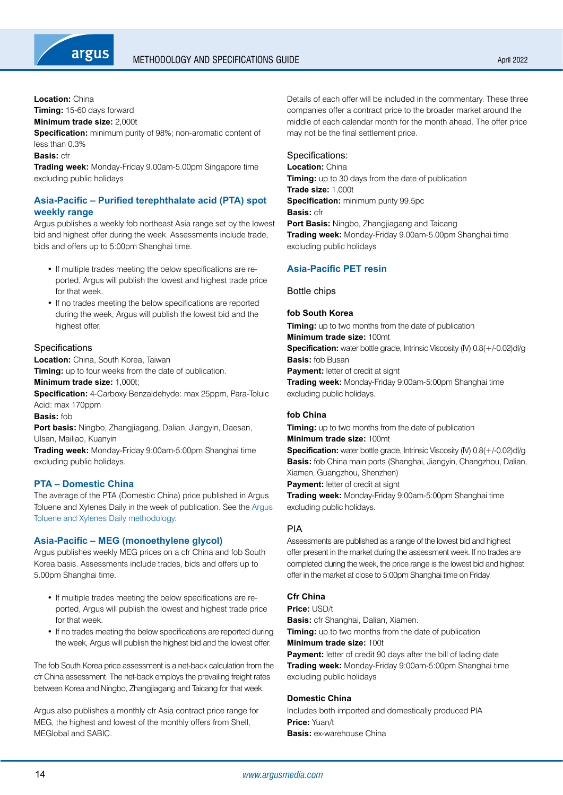

**Location:** China

**Timing:** 15-60 days forward

**Minimum trade size:** 2,000t

**Specification:** minimum purity of 98%; non-aromatic content of less than 0.3%

**Basis:** cfr

**Trading week:** Monday-Friday 9.00am-5.00pm Singapore time excluding public holidays

# **Asia-Pacific – Purified terephthalate acid (PTA) spot weekly range**

Argus publishes a weekly fob northeast Asia range set by the lowest bid and highest offer during the week. Assessments include trade, bids and offers up to 5:00pm Shanghai time.

- If multiple trades meeting the below specifications are reported, Argus will publish the lowest and highest trade price for that week.
- If no trades meeting the below specifications are reported during the week, Argus will publish the lowest bid and the highest offer.

## **Specifications**

**Location:** China, South Korea, Taiwan

**Timing:** up to four weeks from the date of publication. **Minimum trade size:** 1,000t;

**Specification:** 4-Carboxy Benzaldehyde: max 25ppm, Para-Toluic Acid: max 170ppm

**Basis:** fob

**Port basis:** Ningbo, Zhangjiagang, Dalian, Jiangyin, Daesan, Ulsan, Mailiao, Kuanyin

**Trading week:** Monday-Friday 9:00am-5:00pm Shanghai time excluding public holidays.

# **PTA – Domestic China**

The average of the PTA (Domestic China) price published in Argus Toluene and Xylenes Daily in the week of publication. See the [Argus](https://www.argusmedia.com/-/media/Files/methodology/argus-toluene-and-xylenes-daily.ashx)  [Toluene and Xylenes Daily methodology.](https://www.argusmedia.com/-/media/Files/methodology/argus-toluene-and-xylenes-daily.ashx)

# **Asia-Pacific – MEG (monoethylene glycol)**

Argus publishes weekly MEG prices on a cfr China and fob South Korea basis. Assessments include trades, bids and offers up to 5.00pm Shanghai time.

- If multiple trades meeting the below specifications are reported, Argus will publish the lowest and highest trade price for that week.
- If no trades meeting the below specifications are reported during the week, Argus will publish the highest bid and the lowest offer.

The fob South Korea price assessment is a net-back calculation from the cfr China assessment. The net-back employs the prevailing freight rates between Korea and Ningbo, Zhangjiagang and Taicang for that week.

Argus also publishes a monthly cfr Asia contract price range for MEG, the highest and lowest of the monthly offers from Shell, MEGlobal and SABIC.

Details of each offer will be included in the commentary. These three companies offer a contract price to the broader market around the middle of each calendar month for the month ahead. The offer price may not be the final settlement price.

Specifications:

**Location:** China **Timing:** up to 30 days from the date of publication **Trade size:** 1,000t **Specification:** minimum purity 99.5pc **Basis:** cfr **Port Basis:** Ningbo, Zhangjiagang and Taicang **Trading week:** Monday-Friday 9.00am-5.00pm Shanghai time excluding public holidays

# **Asia-Pacific PET resin**

Bottle chips

## **fob South Korea**

**Timing:** up to two months from the date of publication **Minimum trade size:** 100mt **Specification:** water bottle grade, Intrinsic Viscosity (IV) 0.8(+/-0.02)dl/g **Basis:** fob Busan **Payment:** letter of credit at sight **Trading week:** Monday-Friday 9:00am-5:00pm Shanghai time excluding public holidays.

# **fob China**

**Timing:** up to two months from the date of publication **Minimum trade size:** 100mt **Specification:** water bottle grade, Intrinsic Viscosity (IV) 0.8(+/-0.02)dl/g **Basis:** fob China main ports (Shanghai, Jiangyin, Changzhou, Dalian, Xiamen, Guangzhou, Shenzhen) **Payment:** letter of credit at sight

**Trading week:** Monday-Friday 9:00am-5:00pm Shanghai time excluding public holidays.

# PIA

Assessments are published as a range of the lowest bid and highest offer present in the market during the assessment week. If no trades are completed during the week, the price range is the lowest bid and highest offer in the market at close to 5:00pm Shanghai time on Friday.

# **Cfr China**

### **Price:** USD/t

**Basis:** cfr Shanghai, Dalian, Xiamen. **Timing:** up to two months from the date of publication **Minimum trade size:** 100t

**Payment:** letter of credit 90 days after the bill of lading date **Trading week:** Monday-Friday 9:00am-5:00pm Shanghai time excluding public holidays

# **Domestic China**

Includes both imported and domestically produced PIA **Price:** Yuan/t **Basis:** ex-warehouse China